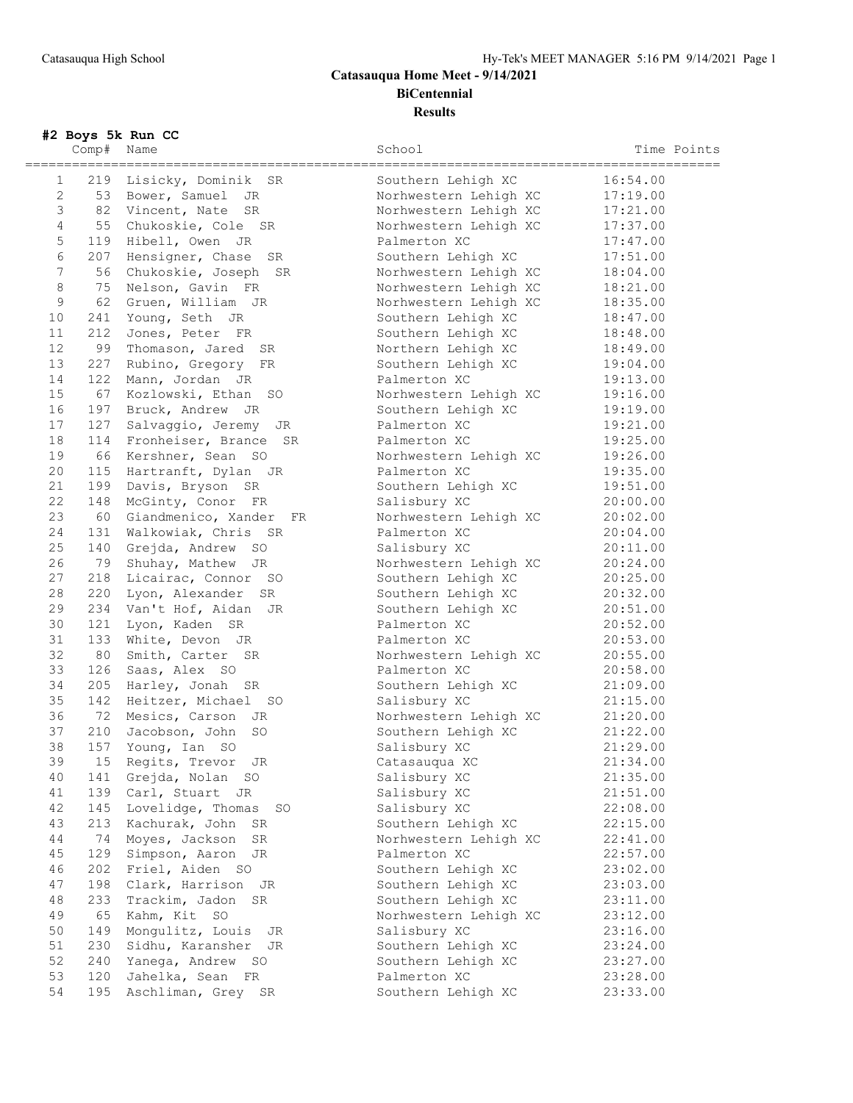## **Catasauqua Home Meet - 9/14/2021 BiCentennial Results**

**#2 Boys 5k Run CC**

| ================ | Comp# | $\mathbb{R}$ boys on name of<br>Name<br>___________________________________ | School                                              | Time Points<br>========== |
|------------------|-------|-----------------------------------------------------------------------------|-----------------------------------------------------|---------------------------|
| 1                |       | 219 Lisicky, Dominik SR                                                     | -----------------------------<br>Southern Lehigh XC | 16:54.00                  |
| $\mathbf{2}$     |       | 53 Bower, Samuel JR                                                         | Norhwestern Lehigh XC                               | 17:19.00                  |
| 3                |       | 82 Vincent, Nate SR                                                         | Norhwestern Lehigh XC                               | 17:21.00                  |
| $\overline{4}$   |       | 55 Chukoskie, Cole SR                                                       | Norhwestern Lehigh XC                               | 17:37.00                  |
| $\mathsf S$      |       | 119 Hibell, Owen JR                                                         | Palmerton XC                                        | 17:47.00                  |
| 6                |       | 207 Hensigner, Chase SR                                                     | Southern Lehigh XC                                  | 17:51.00                  |
| $\sqrt{ }$       |       | 56 Chukoskie, Joseph SR                                                     | Norhwestern Lehigh XC                               | 18:04.00                  |
| $\,8\,$          |       | 75 Nelson, Gavin FR                                                         | Norhwestern Lehigh XC                               | 18:21.00                  |
| 9                |       | 62 Gruen, William JR                                                        | Norhwestern Lehigh XC                               | 18:35.00                  |
| 10               | 241   | Young, Seth JR                                                              | Southern Lehigh XC                                  | 18:47.00                  |
| 11               | 212   | Jones, Peter FR                                                             | Southern Lehigh XC                                  | 18:48.00                  |
| 12               | 99    | Thomason, Jared SR                                                          | Northern Lehigh XC                                  | 18:49.00                  |
| 13               | 227   | Rubino, Gregory FR                                                          | Southern Lehigh XC                                  | 19:04.00                  |
| 14               |       | 122 Mann, Jordan JR                                                         | Palmerton XC                                        | 19:13.00                  |
| 15               | 67    | Kozlowski, Ethan SO                                                         | Norhwestern Lehigh XC                               | 19:16.00                  |
| 16               | 197   | Bruck, Andrew JR                                                            | Southern Lehigh XC                                  | 19:19.00                  |
| 17               | 127   | Salvaggio, Jeremy JR                                                        | Palmerton XC                                        | 19:21.00                  |
| 18               | 114   | Fronheiser, Brance SR                                                       | Palmerton XC                                        | 19:25.00                  |
| 19               | 66    | Kershner, Sean SO                                                           | Norhwestern Lehigh XC                               | 19:26.00                  |
| 20               |       | 115 Hartranft, Dylan JR                                                     | Palmerton XC                                        | 19:35.00                  |
| 21               | 199   | Davis, Bryson SR                                                            | Southern Lehigh XC                                  | 19:51.00                  |
| 22               | 148   | McGinty, Conor FR                                                           | Salisbury XC                                        | 20:00.00                  |
| 23               | 60    | Giandmenico, Xander FR                                                      | Norhwestern Lehigh XC                               | 20:02.00                  |
| 24               | 131   | Walkowiak, Chris SR                                                         | Palmerton XC                                        | 20:04.00                  |
| 25               |       | 140 Grejda, Andrew SO                                                       | Salisbury XC                                        | 20:11.00                  |
| 26               |       | 79 Shuhay, Mathew JR                                                        | Norhwestern Lehigh XC                               | 20:24.00                  |
| 27               |       | 218 Licairac, Connor SO                                                     | Southern Lehigh XC                                  | 20:25.00                  |
| 28               | 220   | Lyon, Alexander SR                                                          | Southern Lehigh XC                                  | 20:32.00                  |
| 29               |       | 234 Van't Hof, Aidan JR                                                     | Southern Lehigh XC                                  | 20:51.00                  |
| 30               | 121   | Lyon, Kaden SR                                                              | Palmerton XC                                        | 20:52.00                  |
| 31               | 133   | White, Devon JR                                                             | Palmerton XC                                        | 20:53.00                  |
| 32               | 80    | Smith, Carter SR                                                            | Norhwestern Lehigh XC                               | 20:55.00                  |
| 33               |       | 126 Saas, Alex SO                                                           | Palmerton XC                                        | 20:58.00                  |
| 34               | 205   | Harley, Jonah SR                                                            | Southern Lehigh XC                                  | 21:09.00                  |
| 35               |       | 142 Heitzer, Michael SO                                                     | Salisbury XC                                        | 21:15.00                  |
| 36               | 72    | Mesics, Carson JR                                                           | Norhwestern Lehigh XC                               | 21:20.00                  |
| 37               | 210   | Jacobson, John<br>SO                                                        | Southern Lehigh XC                                  | 21:22.00                  |
| 38               | 157   | Young, Ian SO                                                               | Salisbury XC                                        | 21:29.00                  |
| 39               |       | 15 Regits, Trevor JR                                                        | Catasauqua XC                                       | 21:34.00                  |
| 40               | 141   | Grejda, Nolan SO                                                            | Salisbury XC                                        | 21:35.00                  |
| 41               | 139   | Carl, Stuart JR                                                             | Salisbury XC                                        | 21:51.00                  |
| 42               | 145   | Lovelidge, Thomas<br>SO                                                     | Salisbury XC                                        | 22:08.00                  |
| 43               | 213   | Kachurak, John SR                                                           | Southern Lehigh XC                                  | 22:15.00                  |
| 44               | 74    | Moyes, Jackson<br>SR                                                        | Norhwestern Lehigh XC                               | 22:41.00                  |
| 45               | 129   | Simpson, Aaron<br>JR                                                        | Palmerton XC                                        | 22:57.00                  |
| 46               | 202   | Friel, Aiden SO                                                             | Southern Lehigh XC                                  | 23:02.00                  |
| 47               | 198   | Clark, Harrison JR                                                          | Southern Lehigh XC                                  | 23:03.00                  |
| 48               | 233   | Trackim, Jadon SR                                                           | Southern Lehigh XC                                  | 23:11.00                  |
| 49               | 65    | Kahm, Kit SO                                                                | Norhwestern Lehigh XC                               | 23:12.00                  |
| 50               | 149   | Mongulitz, Louis JR                                                         | Salisbury XC                                        | 23:16.00                  |
| 51               | 230   | Sidhu, Karansher<br>JR                                                      | Southern Lehigh XC                                  | 23:24.00                  |
| 52               | 240   | Yanega, Andrew SO                                                           | Southern Lehigh XC                                  | 23:27.00                  |
| 53               | 120   | Jahelka, Sean FR                                                            | Palmerton XC                                        | 23:28.00                  |

54 195 Aschliman, Grey SR Southern Lehigh XC 23:33.00